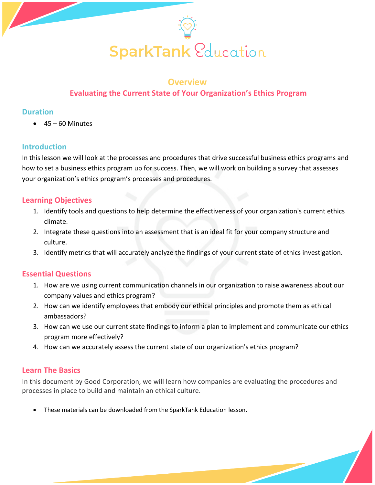

#### **Overview**

## **Evaluating the Current State of Your Organization's Ethics Program**

#### **Duration**

 $\bullet$  45 – 60 Minutes

#### **Introduction**

In this lesson we will look at the processes and procedures that drive successful business ethics programs and how to set a business ethics program up for success. Then, we will work on building a survey that assesses your organization's ethics program's processes and procedures.

## **Learning Objectives**

- 1. Identify tools and questions to help determine the effectiveness of your organization's current ethics climate.
- 2. Integrate these questions into an assessment that is an ideal fit for your company structure and culture.
- 3. Identify metrics that will accurately analyze the findings of your current state of ethics investigation.

## **Essential Questions**

- 1. How are we using current communication channels in our organization to raise awareness about our company values and ethics program?
- 2. How can we identify employees that embody our ethical principles and promote them as ethical ambassadors?
- 3. How can we use our current state findings to inform a plan to implement and communicate our ethics program more effectively?
- 4. How can we accurately assess the current state of our organization's ethics program?

## **Learn The Basics**

In this document by Good Corporation, we will learn how companies are evaluating the procedures and processes in place to build and maintain an ethical culture.

• These materials can be downloaded from the SparkTank Education lesson.